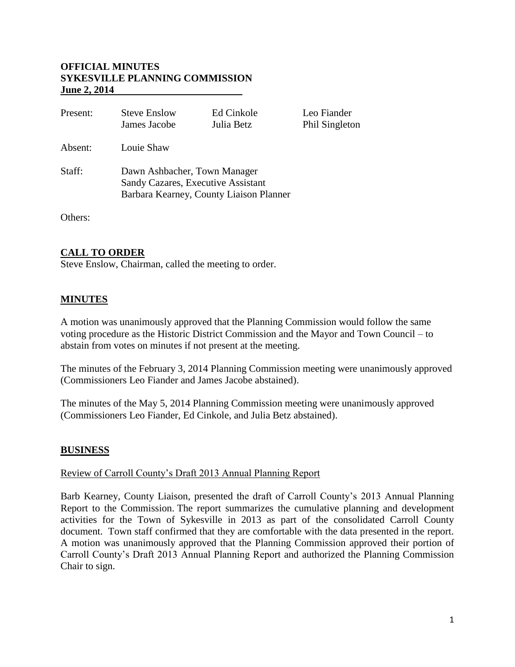### **OFFICIAL MINUTES SYKESVILLE PLANNING COMMISSION June 2, 2014**

| Present: | <b>Steve Enslow</b><br>James Jacobe                                                                           | Ed Cinkole<br>Julia Betz | Leo Fiander<br>Phil Singleton |
|----------|---------------------------------------------------------------------------------------------------------------|--------------------------|-------------------------------|
| Absent:  | Louie Shaw                                                                                                    |                          |                               |
| Staff:   | Dawn Ashbacher, Town Manager<br>Sandy Cazares, Executive Assistant<br>Barbara Kearney, County Liaison Planner |                          |                               |

Others:

# **CALL TO ORDER**

Steve Enslow, Chairman, called the meeting to order.

# **MINUTES**

A motion was unanimously approved that the Planning Commission would follow the same voting procedure as the Historic District Commission and the Mayor and Town Council – to abstain from votes on minutes if not present at the meeting.

The minutes of the February 3, 2014 Planning Commission meeting were unanimously approved (Commissioners Leo Fiander and James Jacobe abstained).

The minutes of the May 5, 2014 Planning Commission meeting were unanimously approved (Commissioners Leo Fiander, Ed Cinkole, and Julia Betz abstained).

## **BUSINESS**

#### Review of Carroll County's Draft 2013 Annual Planning Report

Barb Kearney, County Liaison, presented the draft of Carroll County's 2013 Annual Planning Report to the Commission. The report summarizes the cumulative planning and development activities for the Town of Sykesville in 2013 as part of the consolidated Carroll County document. Town staff confirmed that they are comfortable with the data presented in the report. A motion was unanimously approved that the Planning Commission approved their portion of Carroll County's Draft 2013 Annual Planning Report and authorized the Planning Commission Chair to sign.